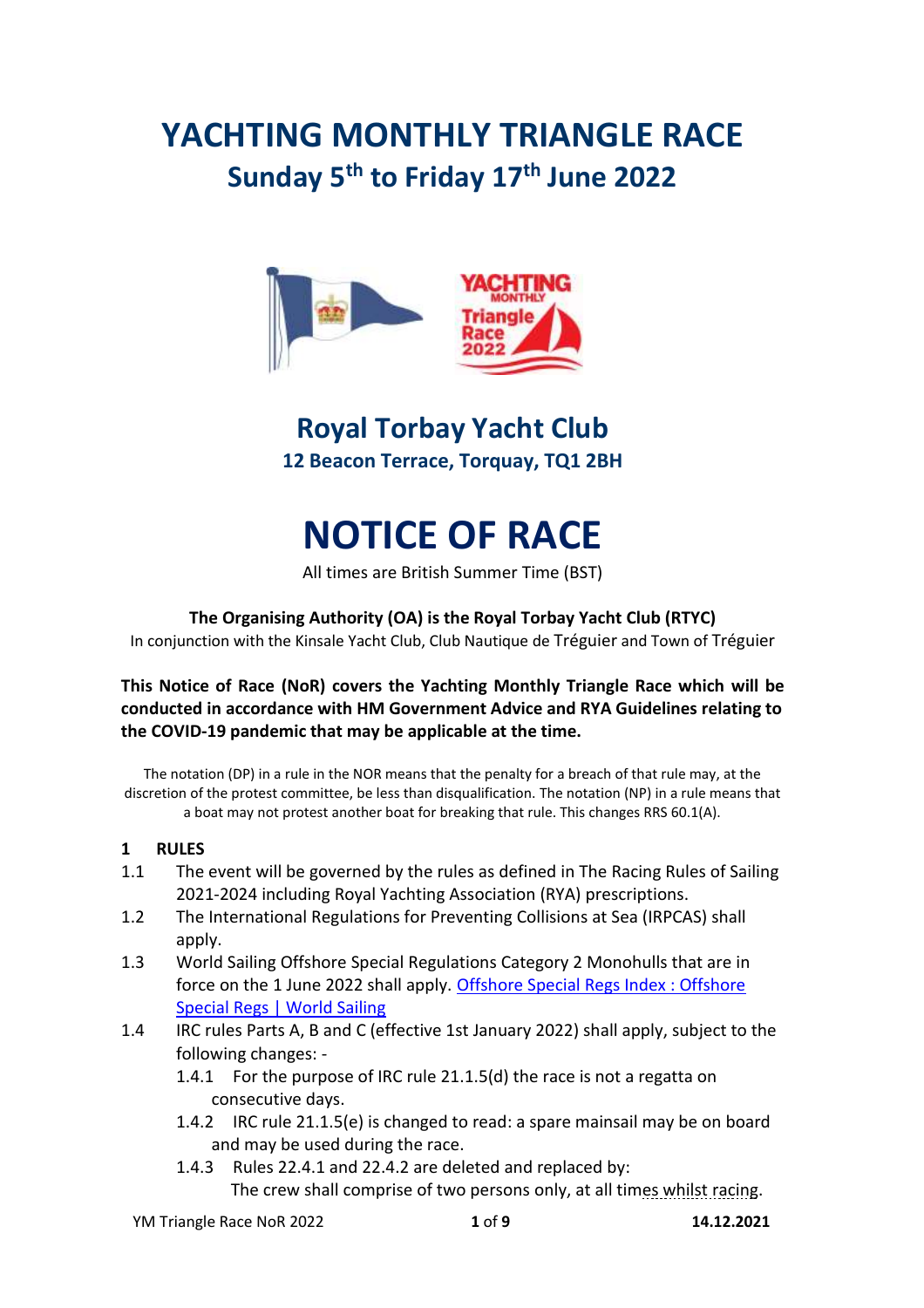## **YACHTING MONTHLY TRIANGLE RACE Sunday 5th to Friday 17th June 2022**



### **Royal Torbay Yacht Club 12 Beacon Terrace, Torquay, TQ1 2BH**

# **NOTICE OF RACE**

All times are British Summer Time (BST)

#### **The Organising Authority (OA) is the Royal Torbay Yacht Club (RTYC)**

In conjunction with the Kinsale Yacht Club, Club Nautique de Tréguier and Town of Tréguier

#### **This Notice of Race (NoR) covers the Yachting Monthly Triangle Race which will be conducted in accordance with HM Government Advice and RYA Guidelines relating to the COVID-19 pandemic that may be applicable at the time.**

The notation (DP) in a rule in the NOR means that the penalty for a breach of that rule may, at the discretion of the protest committee, be less than disqualification. The notation (NP) in a rule means that a boat may not protest another boat for breaking that rule. This changes RRS 60.1(A).

#### **1 RULES**

- 1.1 The event will be governed by the rules as defined in The Racing Rules of Sailing 2021-2024 including Royal Yachting Association (RYA) prescriptions.
- 1.2 The International Regulations for Preventing Collisions at Sea (IRPCAS) shall apply.
- 1.3 World Sailing Offshore Special Regulations Category 2 Monohulls that are in force on the 1 June 2022 shall apply. [Offshore Special Regs Index : Offshore](https://www.sailing.org/documents/offshorespecialregs/index.php)  [Special Regs | World Sailing](https://www.sailing.org/documents/offshorespecialregs/index.php)
- 1.4 IRC rules Parts A, B and C (effective 1st January 2022) shall apply, subject to the following changes: -
	- 1.4.1 For the purpose of IRC rule 21.1.5(d) the race is not a regatta on consecutive days.
	- 1.4.2 IRC rule 21.1.5(e) is changed to read: a spare mainsail may be on board and may be used during the race.
	- 1.4.3 Rules 22.4.1 and 22.4.2 are deleted and replaced by: The crew shall comprise of two persons only, at all times whilst racing.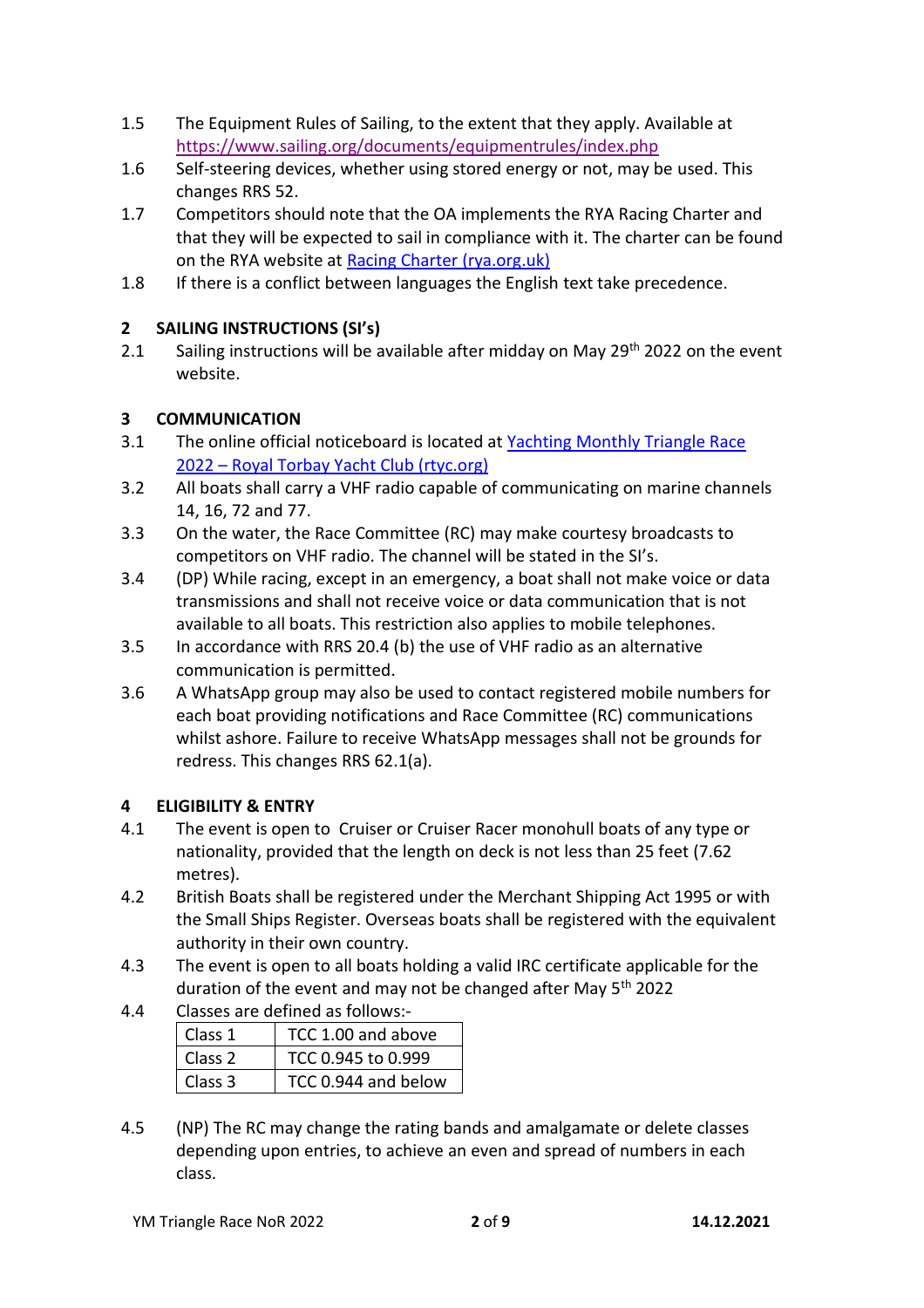- 1.5 The Equipment Rules of Sailing, to the extent that they apply. Available at <https://www.sailing.org/documents/equipmentrules/index.php>
- 1.6 Self-steering devices, whether using stored energy or not, may be used. This changes RRS 52.
- 1.7 Competitors should note that the OA implements the RYA Racing Charter and that they will be expected to sail in compliance with it. The charter can be found on the RYA website at [Racing Charter \(rya.org.uk\)](https://www.rya.org.uk/racing/rules/racing-charter)
- 1.8 If there is a conflict between languages the English text take precedence.

#### **2 SAILING INSTRUCTIONS (SI's)**

2.1 Sailing instructions will be available after midday on May 29<sup>th</sup> 2022 on the event website.

#### **3 COMMUNICATION**

- 3.1 The online official noticeboard is located at Yachting Monthly Triangle Race 2022 – [Royal Torbay Yacht Club \(rtyc.org\)](https://rtyc.org/event/yachting-monthly-triangle-race-2022/)
- 3.2 All boats shall carry a VHF radio capable of communicating on marine channels 14, 16, 72 and 77.
- 3.3 On the water, the Race Committee (RC) may make courtesy broadcasts to competitors on VHF radio. The channel will be stated in the SI's.
- 3.4 (DP) While racing, except in an emergency, a boat shall not make voice or data transmissions and shall not receive voice or data communication that is not available to all boats. This restriction also applies to mobile telephones.
- 3.5 In accordance with RRS 20.4 (b) the use of VHF radio as an alternative communication is permitted.
- 3.6 A WhatsApp group may also be used to contact registered mobile numbers for each boat providing notifications and Race Committee (RC) communications whilst ashore. Failure to receive WhatsApp messages shall not be grounds for redress. This changes RRS 62.1(a).

#### **4 ELIGIBILITY & ENTRY**

- 4.1 The event is open to Cruiser or Cruiser Racer monohull boats of any type or nationality, provided that the length on deck is not less than 25 feet (7.62 metres).
- 4.2 British Boats shall be registered under the Merchant Shipping Act 1995 or with the Small Ships Register. Overseas boats shall be registered with the equivalent authority in their own country.
- 4.3 The event is open to all boats holding a valid IRC certificate applicable for the duration of the event and may not be changed after May  $5<sup>th</sup>$  2022
- 4.4 Classes are defined as follows:-

| Class 1            | TCC 1.00 and above  |  |
|--------------------|---------------------|--|
| Class <sub>2</sub> | TCC 0.945 to 0.999  |  |
| Class 3            | TCC 0.944 and below |  |

4.5 (NP) The RC may change the rating bands and amalgamate or delete classes depending upon entries, to achieve an even and spread of numbers in each class.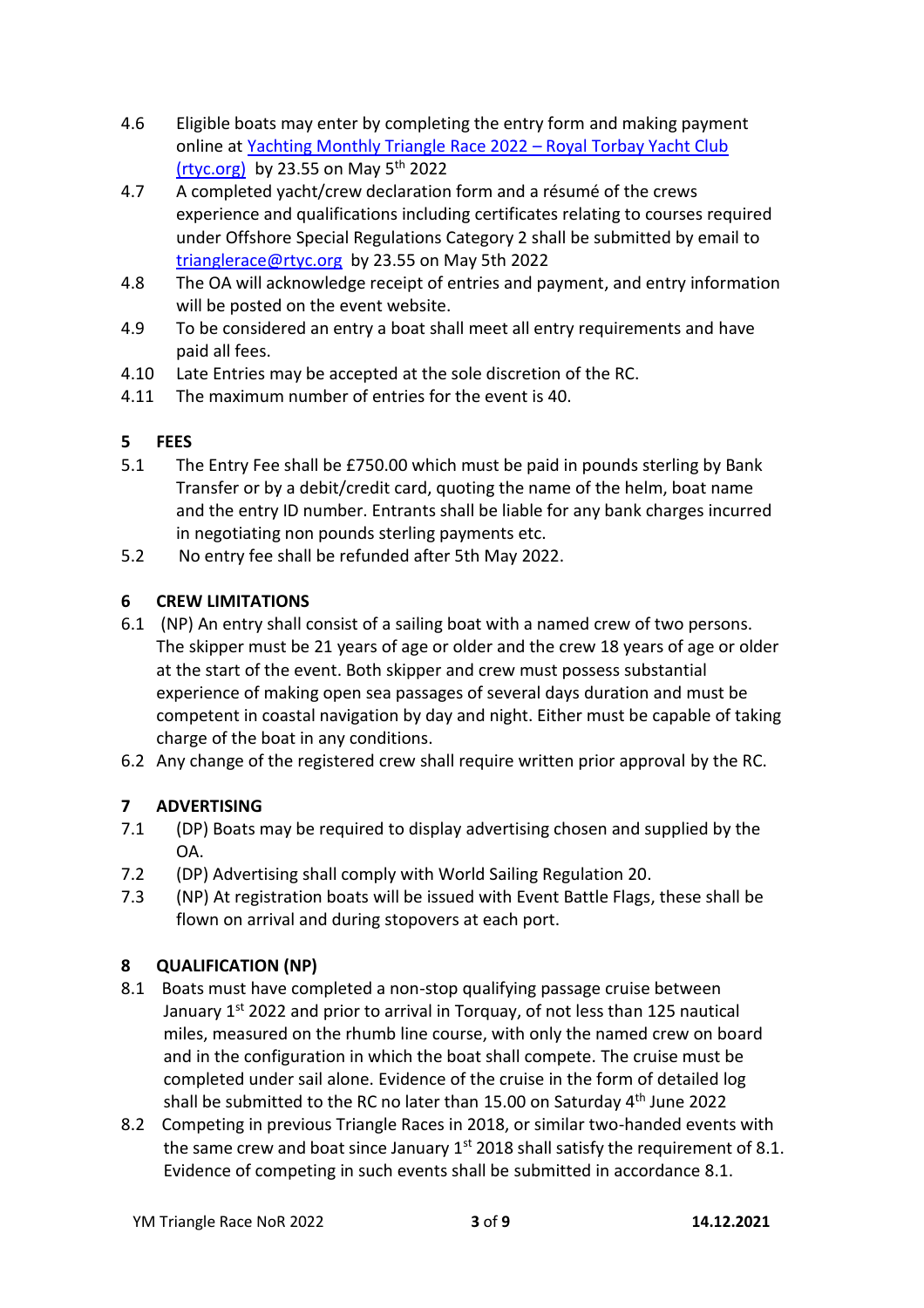- 4.6 Eligible boats may enter by completing the entry form and making payment online at [Yachting Monthly Triangle Race 2022](https://rtyc.org/event/yachting-monthly-triangle-race-2022/) – Royal Torbay Yacht Club [\(rtyc.org\)](https://rtyc.org/event/yachting-monthly-triangle-race-2022/) by 23.55 on May  $5<sup>th</sup>$  2022
- 4.7 A completed yacht/crew declaration form and a résumé of the crews experience and qualifications including certificates relating to courses required under Offshore Special Regulations Category 2 shall be submitted by email to [trianglerace@rtyc.org](mailto:trianglerace@rtyc.org) by 23.55 on May 5th 2022
- 4.8 The OA will acknowledge receipt of entries and payment, and entry information will be posted on the event website.
- 4.9 To be considered an entry a boat shall meet all entry requirements and have paid all fees.
- 4.10 Late Entries may be accepted at the sole discretion of the RC.
- 4.11 The maximum number of entries for the event is 40.

#### **5 FEES**

- 5.1 The Entry Fee shall be £750.00 which must be paid in pounds sterling by Bank Transfer or by a debit/credit card, quoting the name of the helm, boat name and the entry ID number. Entrants shall be liable for any bank charges incurred in negotiating non pounds sterling payments etc.
- 5.2 No entry fee shall be refunded after 5th May 2022.

#### **6 CREW LIMITATIONS**

- 6.1 (NP) An entry shall consist of a sailing boat with a named crew of two persons. The skipper must be 21 years of age or older and the crew 18 years of age or older at the start of the event. Both skipper and crew must possess substantial experience of making open sea passages of several days duration and must be competent in coastal navigation by day and night. Either must be capable of taking charge of the boat in any conditions.
- 6.2 Any change of the registered crew shall require written prior approval by the RC.

#### **7 ADVERTISING**

- 7.1 (DP) Boats may be required to display advertising chosen and supplied by the OA.
- 7.2 (DP) Advertising shall comply with World Sailing Regulation 20.
- 7.3 (NP) At registration boats will be issued with Event Battle Flags, these shall be flown on arrival and during stopovers at each port.

#### **8 QUALIFICATION (NP)**

- 8.1 Boats must have completed a non-stop qualifying passage cruise between January 1<sup>st</sup> 2022 and prior to arrival in Torquay, of not less than 125 nautical miles, measured on the rhumb line course, with only the named crew on board and in the configuration in which the boat shall compete. The cruise must be completed under sail alone. Evidence of the cruise in the form of detailed log shall be submitted to the RC no later than 15.00 on Saturday 4<sup>th</sup> June 2022
- 8.2 Competing in previous Triangle Races in 2018, or similar two-handed events with the same crew and boat since January  $1^{st}$  2018 shall satisfy the requirement of 8.1. Evidence of competing in such events shall be submitted in accordance 8.1.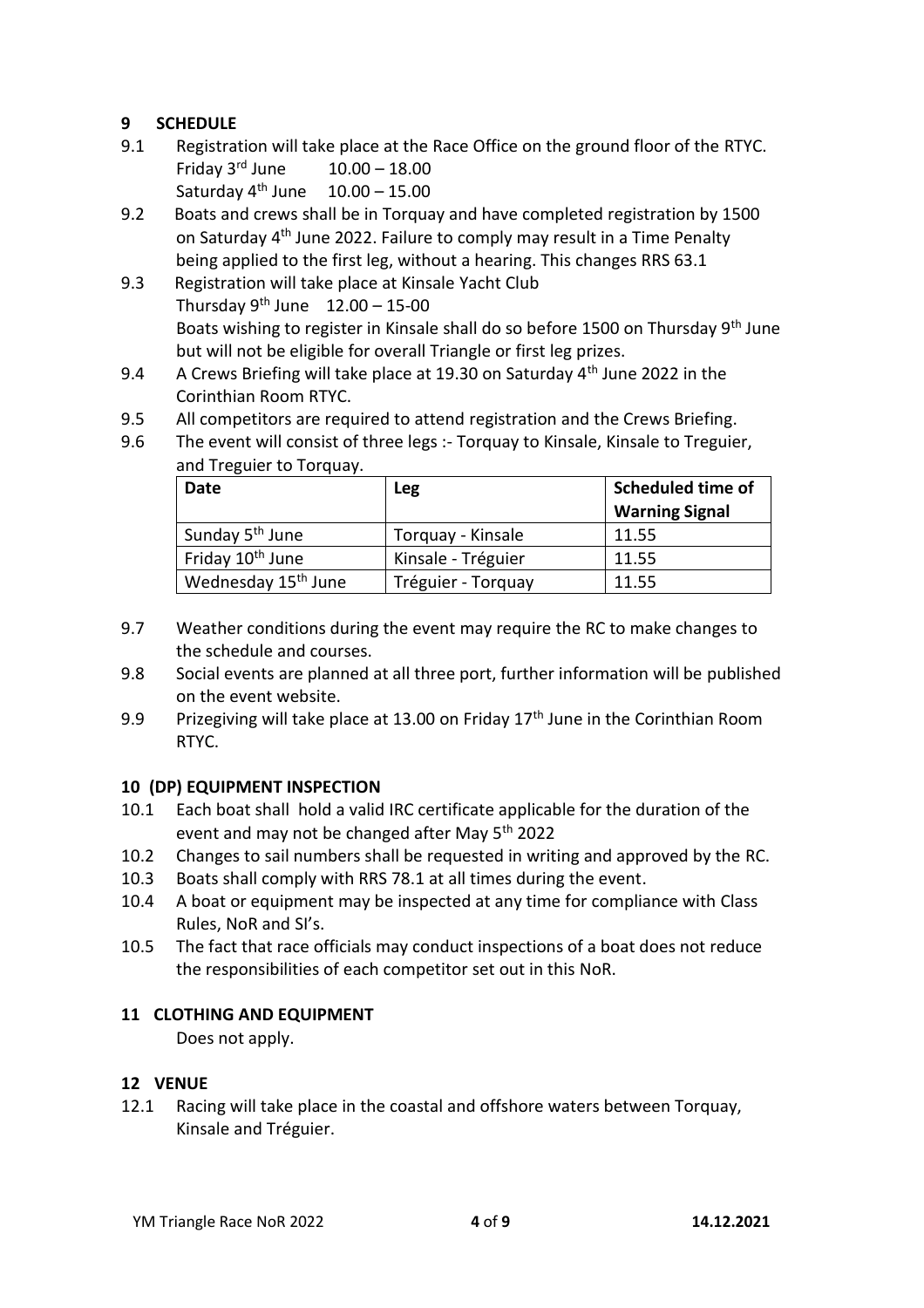#### **9 SCHEDULE**

- 9.1 Registration will take place at the Race Office on the ground floor of the RTYC. Friday  $3^{rd}$  June  $10.00 - 18.00$ Saturday  $4^{th}$  June  $10.00 - 15.00$
- 9.2 Boats and crews shall be in Torquay and have completed registration by 1500 on Saturday 4<sup>th</sup> June 2022. Failure to comply may result in a Time Penalty being applied to the first leg, without a hearing. This changes RRS 63.1
- 9.3 Registration will take place at Kinsale Yacht Club Thursday  $9^{th}$  June  $12.00 - 15-00$ Boats wishing to register in Kinsale shall do so before 1500 on Thursday 9th June but will not be eligible for overall Triangle or first leg prizes.
- 9.4 A Crews Briefing will take place at 19.30 on Saturday 4<sup>th</sup> June 2022 in the Corinthian Room RTYC.
- 9.5 All competitors are required to attend registration and the Crews Briefing.
- 9.6 The event will consist of three legs :- Torquay to Kinsale, Kinsale to Treguier, and Treguier to Torquay.

| Date                            | <b>Leg</b>         | Scheduled time of     |
|---------------------------------|--------------------|-----------------------|
|                                 |                    | <b>Warning Signal</b> |
| Sunday 5 <sup>th</sup> June     | Torquay - Kinsale  | 11.55                 |
| Friday 10 <sup>th</sup> June    | Kinsale - Tréguier | 11.55                 |
| Wednesday 15 <sup>th</sup> June | Tréguier - Torquay | 11.55                 |

- 9.7 Weather conditions during the event may require the RC to make changes to the schedule and courses.
- 9.8 Social events are planned at all three port, further information will be published on the event website.
- 9.9 Prizegiving will take place at 13.00 on Friday  $17<sup>th</sup>$  June in the Corinthian Room RTYC.

#### **10 (DP) EQUIPMENT INSPECTION**

- 10.1 Each boat shall hold a valid IRC certificate applicable for the duration of the event and may not be changed after May 5<sup>th</sup> 2022
- 10.2 Changes to sail numbers shall be requested in writing and approved by the RC.
- 10.3 Boats shall comply with RRS 78.1 at all times during the event.
- 10.4 A boat or equipment may be inspected at any time for compliance with Class Rules, NoR and SI's.
- 10.5 The fact that race officials may conduct inspections of a boat does not reduce the responsibilities of each competitor set out in this NoR.

#### **11 CLOTHING AND EQUIPMENT**

Does not apply.

#### **12 VENUE**

12.1 Racing will take place in the coastal and offshore waters between Torquay, Kinsale and Tréguier.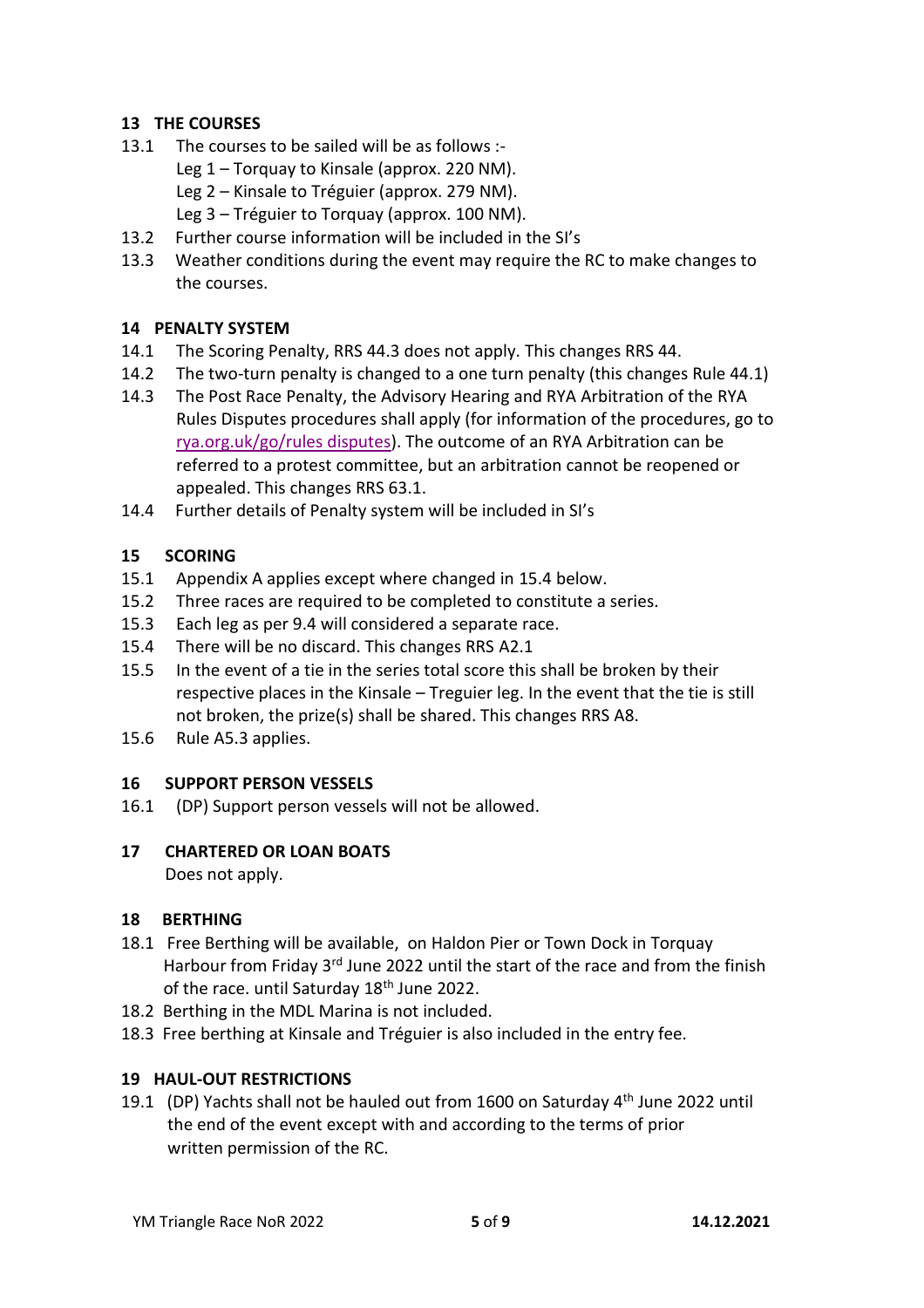#### **13 THE COURSES**

- 13.1 The courses to be sailed will be as follows :-
	- Leg 1 Torquay to Kinsale (approx. 220 NM).
	- Leg 2 Kinsale to Tréguier (approx. 279 NM).
	- Leg 3 Tréguier to Torquay (approx. 100 NM).
- 13.2 Further course information will be included in the SI's
- 13.3 Weather conditions during the event may require the RC to make changes to the courses.

#### **14 PENALTY SYSTEM**

- 14.1 The Scoring Penalty, RRS 44.3 does not apply. This changes RRS 44.
- 14.2 The two-turn penalty is changed to a one turn penalty (this changes Rule 44.1)
- 14.3 The Post Race Penalty, the Advisory Hearing and RYA Arbitration of the RYA Rules Disputes procedures shall apply (for information of the procedures, go to [rya.org.uk/go/rules](http://www.rya.org.uk/go/rulesdisputes) disputes). The outcome of an RYA Arbitration can be referred to a protest committee, but an arbitration cannot be reopened or appealed. This changes RRS 63.1.
- 14.4 Further details of Penalty system will be included in SI's

#### **15 SCORING**

- 15.1 Appendix A applies except where changed in 15.4 below.
- 15.2 Three races are required to be completed to constitute a series.
- 15.3 Each leg as per 9.4 will considered a separate race.
- 15.4 There will be no discard. This changes RRS A2.1
- 15.5 In the event of a tie in the series total score this shall be broken by their respective places in the Kinsale – Treguier leg. In the event that the tie is still not broken, the prize(s) shall be shared. This changes RRS A8.
- 15.6 Rule A5.3 applies.

#### **16 SUPPORT PERSON VESSELS**

16.1 (DP) Support person vessels will not be allowed.

#### **17 CHARTERED OR LOAN BOATS**

Does not apply.

#### **18 BERTHING**

- 18.1 Free Berthing will be available, on Haldon Pier or Town Dock in Torquay Harbour from Friday 3<sup>rd</sup> June 2022 until the start of the race and from the finish of the race. until Saturday 18<sup>th</sup> June 2022.
- 18.2 Berthing in the MDL Marina is not included.
- 18.3 Free berthing at Kinsale and Tréguier is also included in the entry fee.

#### **19 HAUL-OUT RESTRICTIONS**

19.1 (DP) Yachts shall not be hauled out from 1600 on Saturday  $4<sup>th</sup>$  June 2022 until the end of the event except with and according to the terms of prior written permission of the RC.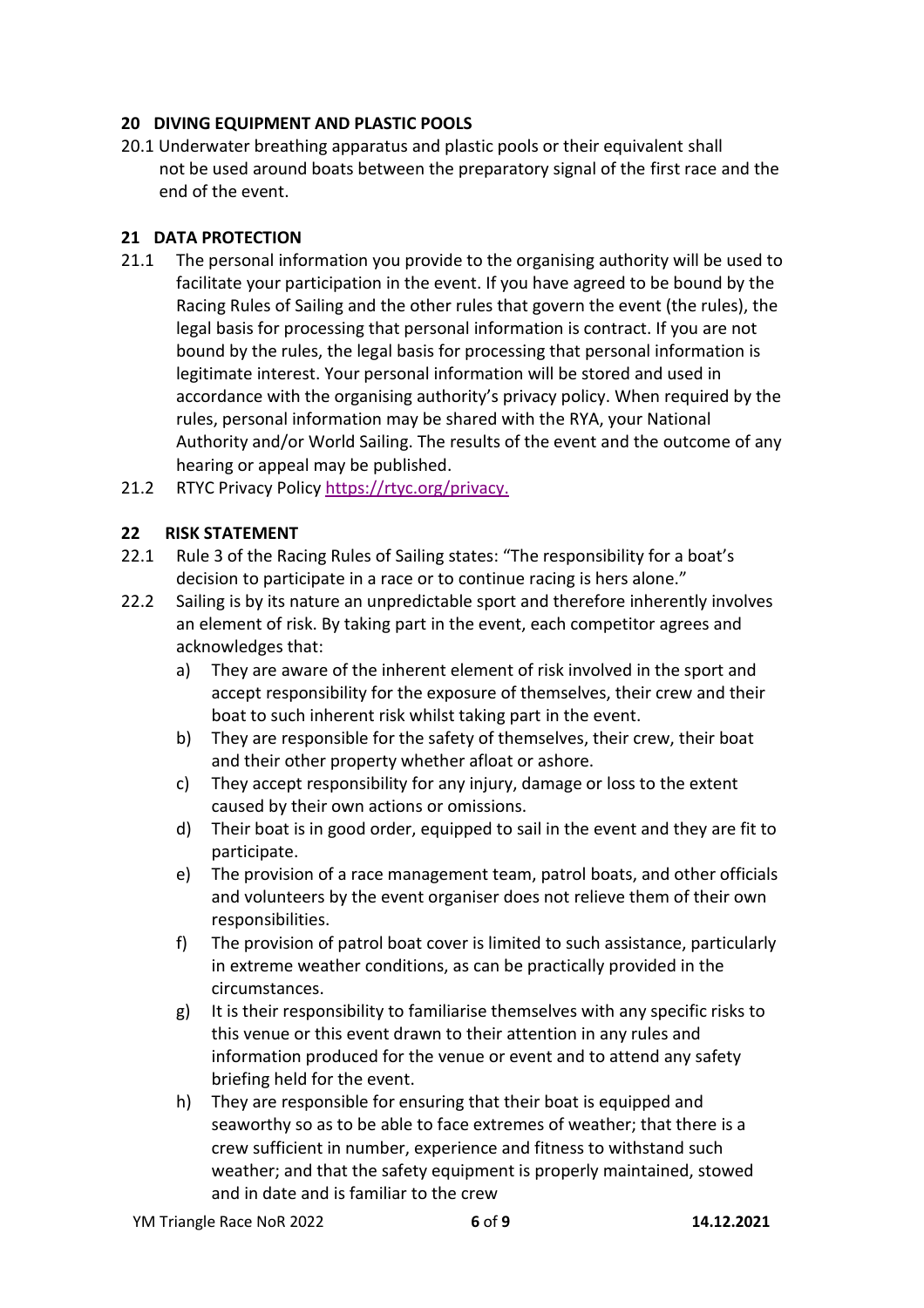#### **20 DIVING EQUIPMENT AND PLASTIC POOLS**

20.1 Underwater breathing apparatus and plastic pools or their equivalent shall not be used around boats between the preparatory signal of the first race and the end of the event.

#### **21 DATA PROTECTION**

- 21.1 The personal information you provide to the organising authority will be used to facilitate your participation in the event. If you have agreed to be bound by the Racing Rules of Sailing and the other rules that govern the event (the rules), the legal basis for processing that personal information is contract. If you are not bound by the rules, the legal basis for processing that personal information is legitimate interest. Your personal information will be stored and used in accordance with the organising authority's privacy policy. When required by the rules, personal information may be shared with the RYA, your National Authority and/or World Sailing. The results of the event and the outcome of any hearing or appeal may be published.
- 21.2 RTYC Privacy Policy [https://rtyc.org/privacy.](https://rtyc.org/privacy)

#### **22 RISK STATEMENT**

- 22.1 Rule 3 of the Racing Rules of Sailing states: "The responsibility for a boat's decision to participate in a race or to continue racing is hers alone."
- 22.2 Sailing is by its nature an unpredictable sport and therefore inherently involves an element of risk. By taking part in the event, each competitor agrees and acknowledges that:
	- a) They are aware of the inherent element of risk involved in the sport and accept responsibility for the exposure of themselves, their crew and their boat to such inherent risk whilst taking part in the event.
	- b) They are responsible for the safety of themselves, their crew, their boat and their other property whether afloat or ashore.
	- c) They accept responsibility for any injury, damage or loss to the extent caused by their own actions or omissions.
	- d) Their boat is in good order, equipped to sail in the event and they are fit to participate.
	- e) The provision of a race management team, patrol boats, and other officials and volunteers by the event organiser does not relieve them of their own responsibilities.
	- f) The provision of patrol boat cover is limited to such assistance, particularly in extreme weather conditions, as can be practically provided in the circumstances.
	- g) It is their responsibility to familiarise themselves with any specific risks to this venue or this event drawn to their attention in any rules and information produced for the venue or event and to attend any safety briefing held for the event.
	- h) They are responsible for ensuring that their boat is equipped and seaworthy so as to be able to face extremes of weather; that there is a crew sufficient in number, experience and fitness to withstand such weather; and that the safety equipment is properly maintained, stowed and in date and is familiar to the crew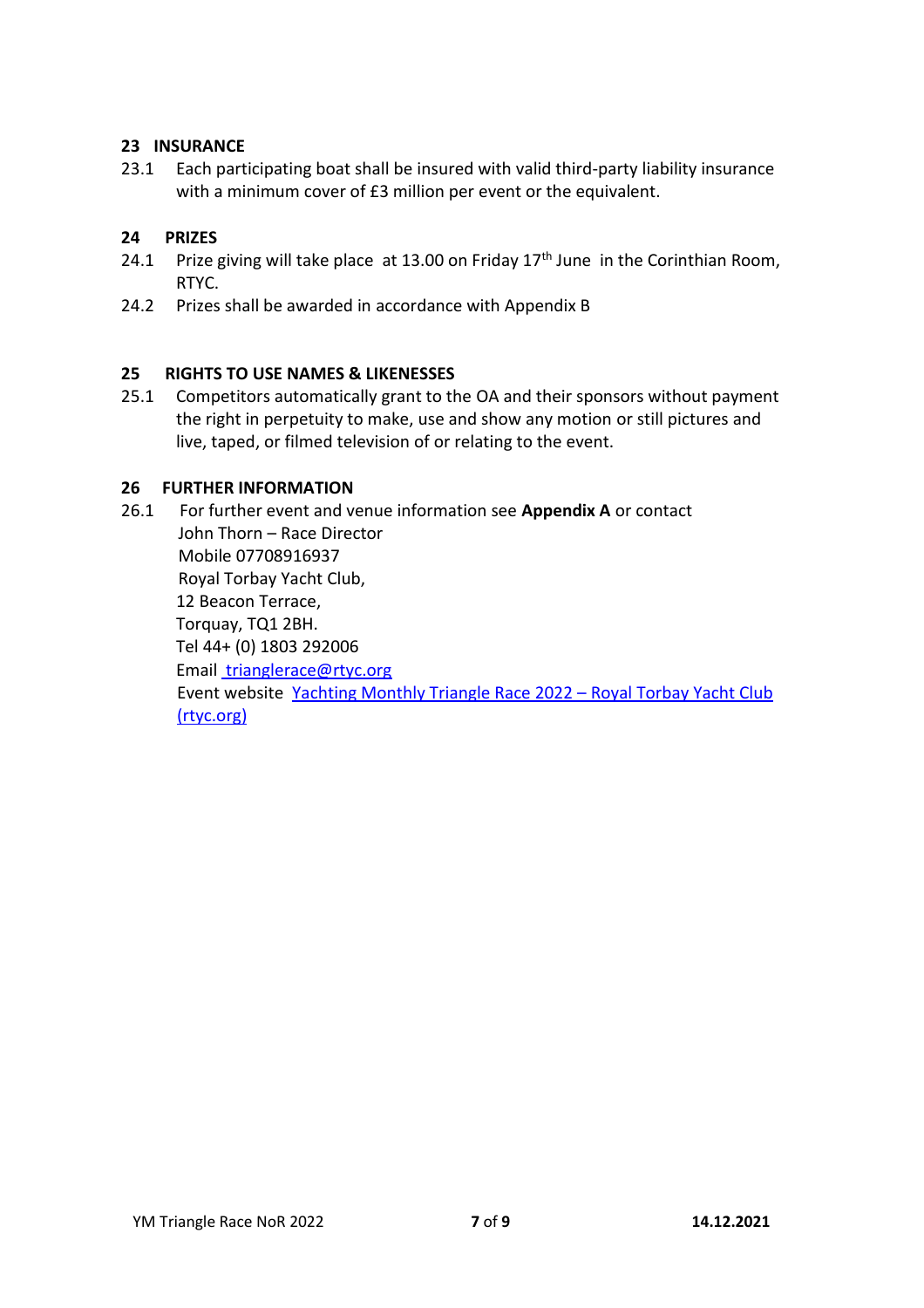#### **23 INSURANCE**

23.1 Each participating boat shall be insured with valid third-party liability insurance with a minimum cover of £3 million per event or the equivalent.

#### **24 PRIZES**

- 24.1 Prize giving will take place at 13.00 on Friday  $17<sup>th</sup>$  June in the Corinthian Room, RTYC.
- 24.2 Prizes shall be awarded in accordance with Appendix B

#### **25 RIGHTS TO USE NAMES & LIKENESSES**

25.1 Competitors automatically grant to the OA and their sponsors without payment the right in perpetuity to make, use and show any motion or still pictures and live, taped, or filmed television of or relating to the event.

#### **26 FURTHER INFORMATION**

26.1 For further event and venue information see **Appendix A** or contact John Thorn – Race Director Mobile 07708916937 Royal Torbay Yacht Club, 12 Beacon Terrace, Torquay, TQ1 2BH. Tel 44+ (0) 1803 292006 Email [trianglerace@rtyc.org](mailto:trianglerace@rtyc.org) Event website [Yachting Monthly Triangle Race 2022](https://rtyc.org/event/yachting-monthly-triangle-race-2022/) – Royal Torbay Yacht Club [\(rtyc.org\)](https://rtyc.org/event/yachting-monthly-triangle-race-2022/)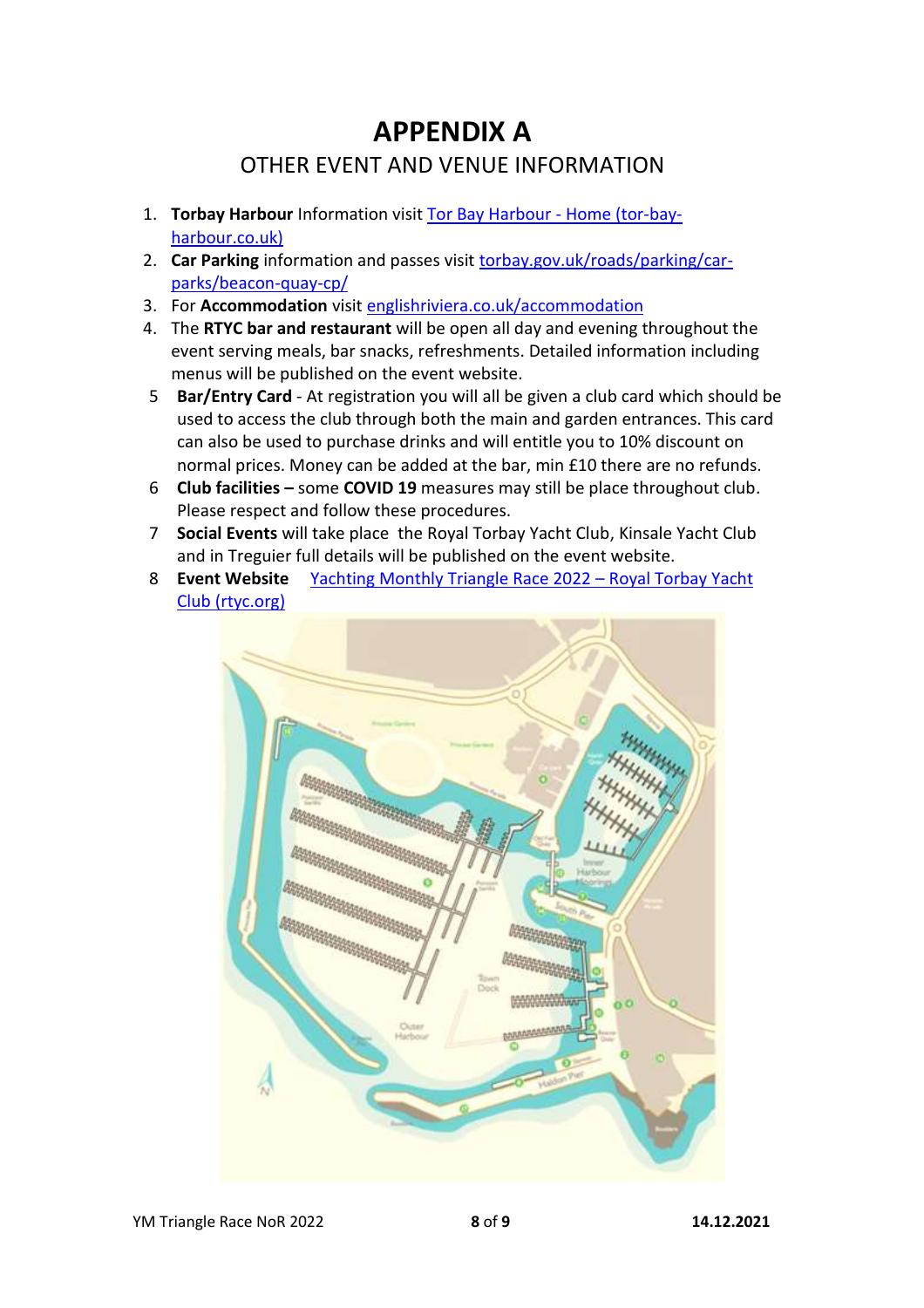## **APPENDIX A** OTHER EVENT AND VENUE INFORMATION

- 1. **Torbay Harbour** Information visit [Tor Bay Harbour -](https://www.tor-bay-harbour.co.uk/) Home (tor-bay[harbour.co.uk\)](https://www.tor-bay-harbour.co.uk/)
- 2. **Car Parking** information and passes visit [torbay.gov.uk/roads/parking/car](https://www.torbay.gov.uk/roads/parking/car-parks/beacon-quay-cp/)[parks/beacon-quay-cp/](https://www.torbay.gov.uk/roads/parking/car-parks/beacon-quay-cp/)
- 3. For **Accommodation** visit [englishriviera.co.uk/accommodation](http://www.englishriviera.co.uk/accommodation)
- 4. The **RTYC bar and restaurant** will be open all day and evening throughout the event serving meals, bar snacks, refreshments. Detailed information including menus will be published on the event website.
- 5 **Bar/Entry Card** At registration you will all be given a club card which should be used to access the club through both the main and garden entrances. This card can also be used to purchase drinks and will entitle you to 10% discount on normal prices. Money can be added at the bar, min £10 there are no refunds.
- 6 **Club facilities –** some **COVID 19** measures may still be place throughout club. Please respect and follow these procedures.
- 7 **Social Events** will take place the Royal Torbay Yacht Club, Kinsale Yacht Club and in Treguier full details will be published on the event website.
- 8 **Event Website** [Yachting Monthly Triangle Race 2022](https://rtyc.org/event/yachting-monthly-triangle-race-2022/)  Royal Torbay Yacht [Club \(rtyc.org\)](https://rtyc.org/event/yachting-monthly-triangle-race-2022/)